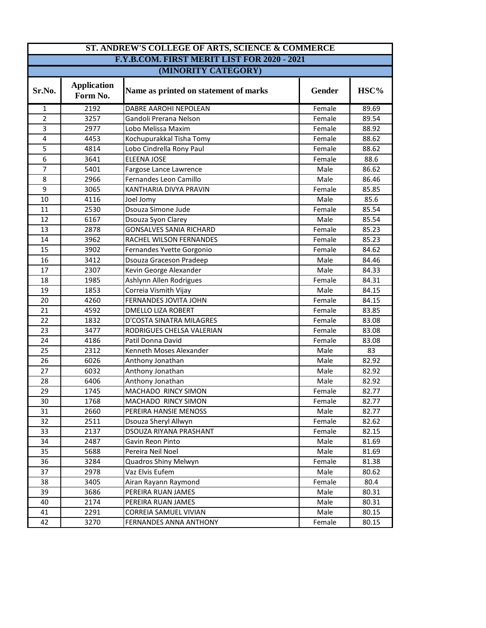| ST. ANDREW'S COLLEGE OF ARTS, SCIENCE & COMMERCE |                                |                                       |        |       |  |
|--------------------------------------------------|--------------------------------|---------------------------------------|--------|-------|--|
| F.Y.B.COM. FIRST MERIT LIST FOR 2020 - 2021      |                                |                                       |        |       |  |
| (MINORITY CATEGORY)                              |                                |                                       |        |       |  |
| Sr.No.                                           | <b>Application</b><br>Form No. | Name as printed on statement of marks | Gender | HSC%  |  |
| $\mathbf{1}$                                     | 2192                           | DABRE AAROHI NEPOLEAN                 | Female | 89.69 |  |
| $\overline{2}$                                   | 3257                           | Gandoli Prerana Nelson                | Female | 89.54 |  |
| 3                                                | 2977                           | Lobo Melissa Maxim                    | Female | 88.92 |  |
| $\overline{\mathbf{4}}$                          | 4453                           | Kochupurakkal Tisha Tomy              | Female | 88.62 |  |
| 5                                                | 4814                           | Lobo Cindrella Rony Paul              | Female | 88.62 |  |
| 6                                                | 3641                           | <b>ELEENA JOSE</b>                    | Female | 88.6  |  |
| $\overline{7}$                                   | 5401                           | Fargose Lance Lawrence                | Male   | 86.62 |  |
| 8                                                | 2966                           | Fernandes Leon Camillo                | Male   | 86.46 |  |
| 9                                                | 3065                           | KANTHARIA DIVYA PRAVIN                | Female | 85.85 |  |
| 10                                               | 4116                           | Joel Jomy                             | Male   | 85.6  |  |
| 11                                               | 2530                           | Dsouza Simone Jude                    | Female | 85.54 |  |
| 12                                               | 6167                           | Dsouza Syon Clarey                    | Male   | 85.54 |  |
| 13                                               | 2878                           | <b>GONSALVES SANIA RICHARD</b>        | Female | 85.23 |  |
| 14                                               | 3962                           | RACHEL WILSON FERNANDES               | Female | 85.23 |  |
| 15                                               | 3902                           | Fernandes Yvette Gorgonio             | Female | 84.62 |  |
| 16                                               | 3412                           | Dsouza Graceson Pradeep               | Male   | 84.46 |  |
| 17                                               | 2307                           | Kevin George Alexander                | Male   | 84.33 |  |
| 18                                               | 1985                           | Ashlynn Allen Rodrigues               | Female | 84.31 |  |
| 19                                               | 1853                           | Correia Vismith Vijay                 | Male   | 84.15 |  |
| 20                                               | 4260                           | FERNANDES JOVITA JOHN                 | Female | 84.15 |  |
| 21                                               | 4592                           | <b>DMELLO LIZA ROBERT</b>             | Female | 83.85 |  |
| 22                                               | 1832                           | D'COSTA SINATRA MILAGRES              | Female | 83.08 |  |
| 23                                               | 3477                           | RODRIGUES CHELSA VALERIAN             | Female | 83.08 |  |
| 24                                               | 4186                           | Patil Donna David                     | Female | 83.08 |  |
| 25                                               | 2312                           | Kenneth Moses Alexander               | Male   | 83    |  |
| 26                                               | 6026                           | Anthony Jonathan                      | Male   | 82.92 |  |
| 27                                               | 6032                           | Anthony Jonathan                      | Male   | 82.92 |  |
| 28                                               | 6406                           | Anthony Jonathan                      | Male   | 82.92 |  |
| 29                                               | 1745                           | MACHADO RINCY SIMON                   | Female | 82.77 |  |
| 30                                               | 1768                           | MACHADO RINCY SIMON                   | Female | 82.77 |  |
| 31                                               | 2660                           | PEREIRA HANSIE MENOSS                 | Male   | 82.77 |  |
| 32                                               | 2511                           | Dsouza Sheryl Allwyn                  | Female | 82.62 |  |
| 33                                               | 2137                           | DSOUZA RIYANA PRASHANT                | Female | 82.15 |  |
| 34                                               | 2487                           | Gavin Reon Pinto                      | Male   | 81.69 |  |
| 35                                               | 5688                           | Pereira Neil Noel                     | Male   | 81.69 |  |
| 36                                               | 3284                           | Quadros Shiny Melwyn                  | Female | 81.38 |  |
| 37                                               | 2978                           | Vaz Elvis Eufem                       | Male   | 80.62 |  |
| 38                                               | 3405                           | Airan Rayann Raymond                  | Female | 80.4  |  |
| 39                                               | 3686                           | PEREIRA RUAN JAMES                    | Male   | 80.31 |  |
| 40                                               | 2174                           | PEREIRA RUAN JAMES                    | Male   | 80.31 |  |
| 41                                               | 2291                           | CORREIA SAMUEL VIVIAN                 | Male   | 80.15 |  |
| 42                                               | 3270                           | FERNANDES ANNA ANTHONY                | Female | 80.15 |  |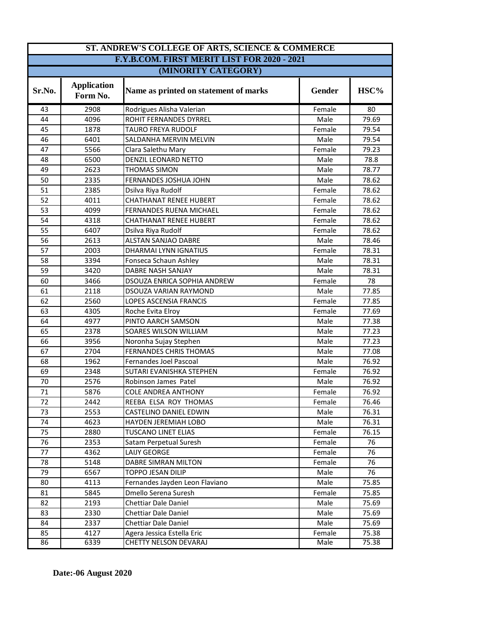| ST. ANDREW'S COLLEGE OF ARTS, SCIENCE & COMMERCE   |                                |                                       |               |       |  |
|----------------------------------------------------|--------------------------------|---------------------------------------|---------------|-------|--|
| <b>F.Y.B.COM. FIRST MERIT LIST FOR 2020 - 2021</b> |                                |                                       |               |       |  |
| (MINORITY CATEGORY)                                |                                |                                       |               |       |  |
| Sr.No.                                             | <b>Application</b><br>Form No. | Name as printed on statement of marks | <b>Gender</b> | HSC%  |  |
| 43                                                 | 2908                           | Rodrigues Alisha Valerian             | Female        | 80    |  |
| 44                                                 | 4096                           | ROHIT FERNANDES DYRREL                | Male          | 79.69 |  |
| 45                                                 | 1878                           | <b>TAURO FREYA RUDOLF</b>             | Female        | 79.54 |  |
| 46                                                 | 6401                           | SALDANHA MERVIN MELVIN                | Male          | 79.54 |  |
| 47                                                 | 5566                           | Clara Salethu Mary                    | Female        | 79.23 |  |
| 48                                                 | 6500                           | DENZIL LEONARD NETTO                  | Male          | 78.8  |  |
| 49                                                 | 2623                           | <b>THOMAS SIMON</b>                   | Male          | 78.77 |  |
| 50                                                 | 2335                           | FERNANDES JOSHUA JOHN                 | Male          | 78.62 |  |
| 51                                                 | 2385                           | Dsilva Riya Rudolf                    | Female        | 78.62 |  |
| 52                                                 | 4011                           | <b>CHATHANAT RENEE HUBERT</b>         | Female        | 78.62 |  |
| 53                                                 | 4099                           | FERNANDES RUENA MICHAEL               | Female        | 78.62 |  |
| 54                                                 | 4318                           | <b>CHATHANAT RENEE HUBERT</b>         | Female        | 78.62 |  |
| 55                                                 | 6407                           | Dsilva Riya Rudolf                    | Female        | 78.62 |  |
| 56                                                 | 2613                           | <b>ALSTAN SANJAO DABRE</b>            | Male          | 78.46 |  |
| 57                                                 | 2003                           | DHARMAI LYNN IGNATIUS                 | Female        | 78.31 |  |
| 58                                                 | 3394                           | Fonseca Schaun Ashley                 | Male          | 78.31 |  |
| 59                                                 | 3420                           | <b>DABRE NASH SANJAY</b>              | Male          | 78.31 |  |
| 60                                                 | 3466                           | DSOUZA ENRICA SOPHIA ANDREW           | Female        | 78    |  |
| 61                                                 | 2118                           | DSOUZA VARIAN RAYMOND                 | Male          | 77.85 |  |
| 62                                                 | 2560                           | LOPES ASCENSIA FRANCIS                | Female        | 77.85 |  |
| 63                                                 | 4305                           | Roche Evita Elroy                     | Female        | 77.69 |  |
| 64                                                 | 4977                           | PINTO AARCH SAMSON                    | Male          | 77.38 |  |
| 65                                                 | 2378                           | SOARES WILSON WILLIAM                 | Male          | 77.23 |  |
| 66                                                 | 3956                           | Noronha Sujay Stephen                 | Male          | 77.23 |  |
| 67                                                 | 2704                           | <b>FERNANDES CHRIS THOMAS</b>         | Male          | 77.08 |  |
| 68                                                 | 1962                           | Fernandes Joel Pascoal                | Male          | 76.92 |  |
| 69                                                 | 2348                           | SUTARI EVANISHKA STEPHEN              | Female        | 76.92 |  |
| 70                                                 | 2576                           | Robinson James Patel                  | Male          | 76.92 |  |
| 71                                                 | 5876                           | <b>COLE ANDREA ANTHONY</b>            | Female        | 76.92 |  |
| 72                                                 | 2442                           | REEBA ELSA ROY THOMAS                 | Female        | 76.46 |  |
| 73                                                 | 2553                           | CASTELINO DANIEL EDWIN                | Male          | 76.31 |  |
| 74                                                 | 4623                           | HAYDEN JEREMIAH LOBO                  | Male          | 76.31 |  |
| 75                                                 | 2880                           | <b>TUSCANO LINET ELIAS</b>            | Female        | 76.15 |  |
| 76                                                 | 2353                           | Satam Perpetual Suresh                | Female        | 76    |  |
| 77                                                 | 4362                           | LAIJY GEORGE                          | Female        | 76    |  |
| 78                                                 | 5148                           | DABRE SIMRAN MILTON                   | Female        | 76    |  |
| 79                                                 | 6567                           | TOPPO JESAN DILIP                     | Male          | 76    |  |
| 80                                                 | 4113                           | Fernandes Jayden Leon Flaviano        | Male          | 75.85 |  |
| 81                                                 | 5845                           | Dmello Serena Suresh                  | Female        | 75.85 |  |
| 82                                                 | 2193                           | Chettiar Dale Daniel                  | Male          | 75.69 |  |
| 83                                                 | 2330                           | Chettiar Dale Daniel                  | Male          | 75.69 |  |
| 84                                                 | 2337                           | <b>Chettiar Dale Daniel</b>           | Male          | 75.69 |  |
| 85                                                 | 4127                           | Agera Jessica Estella Eric            | Female        | 75.38 |  |
| 86                                                 | 6339                           | CHETTY NELSON DEVARAJ                 | Male          | 75.38 |  |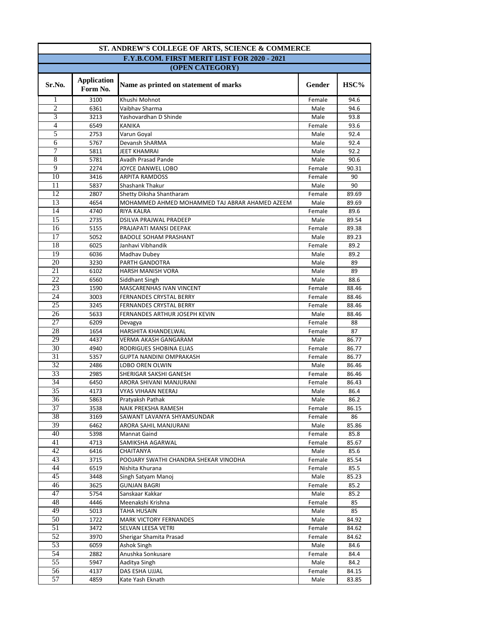| ST. ANDREW'S COLLEGE OF ARTS, SCIENCE & COMMERCE |                                |                                                |        |       |  |
|--------------------------------------------------|--------------------------------|------------------------------------------------|--------|-------|--|
| F.Y.B.COM. FIRST MERIT LIST FOR 2020 - 2021      |                                |                                                |        |       |  |
| (OPEN CATEGORY)                                  |                                |                                                |        |       |  |
| Sr.No.                                           | <b>Application</b><br>Form No. | Name as printed on statement of marks          | Gender | HSC%  |  |
| 1                                                | 3100                           | Khushi Mohnot                                  | Female | 94.6  |  |
| $\overline{2}$                                   | 6361                           | Vaibhav Sharma                                 | Male   | 94.6  |  |
| 3                                                | 3213                           | Yashovardhan D Shinde                          | Male   | 93.8  |  |
| $\overline{4}$                                   | 6549                           | <b>KANIKA</b>                                  | Female | 93.6  |  |
| 5                                                | 2753                           | Varun Goyal                                    | Male   | 92.4  |  |
| $\overline{6}$                                   | 5767                           | Devansh ShARMA                                 | Male   | 92.4  |  |
| 7                                                | 5811                           | <b>JEET KHAMRAI</b>                            | Male   | 92.2  |  |
| $\overline{8}$                                   | 5781                           | Avadh Prasad Pande                             | Male   | 90.6  |  |
| 9                                                | 2274                           | JOYCE DANWEL LOBO                              | Female | 90.31 |  |
| 10                                               | 3416                           | <b>ARPITA RAMDOSS</b>                          | Female | 90    |  |
| 11                                               | 5837                           | Shashank Thakur                                | Male   | 90    |  |
| 12                                               | 2807                           | Shetty Diksha Shantharam                       | Female | 89.69 |  |
| 13                                               | 4654                           | MOHAMMED AHMED MOHAMMED TAJ ABRAR AHAMED AZEEM | Male   | 89.69 |  |
| 14                                               | 4740                           | <b>RIYA KALRA</b>                              | Female | 89.6  |  |
| 15                                               | 2735                           | DSILVA PRAJWAL PRADEEP                         | Male   | 89.54 |  |
| 16                                               | 5155                           | PRAJAPATI MANSI DEEPAK                         | Female | 89.38 |  |
| 17                                               | 5052                           | <b>BADOLE SOHAM PRASHANT</b>                   | Male   | 89.23 |  |
| 18                                               | 6025                           | Janhavi Vibhandik                              | Female | 89.2  |  |
| 19                                               | 6036                           | Madhav Dubey                                   | Male   | 89.2  |  |
| 20                                               | 3230                           | PARTH GANDOTRA                                 | Male   | 89    |  |
| 21                                               | 6102                           | HARSH MANISH VORA                              | Male   | 89    |  |
| 22                                               | 6560                           | Siddhant Singh                                 | Male   | 88.6  |  |
| 23                                               | 1590                           | MASCARENHAS IVAN VINCENT                       | Female | 88.46 |  |
| 24                                               | 3003                           | <b>FERNANDES CRYSTAL BERRY</b>                 | Female | 88.46 |  |
| 25                                               | 3245                           | FERNANDES CRYSTAL BERRY                        | Female | 88.46 |  |
| 26                                               | 5633                           | FERNANDES ARTHUR JOSEPH KEVIN                  | Male   | 88.46 |  |
| 27                                               | 6209                           | Devagya                                        | Female | 88    |  |
| 28                                               | 1654                           | HARSHITA KHANDELWAL                            | Female | 87    |  |
| 29                                               | 4437                           | VERMA AKASH GANGARAM                           | Male   | 86.77 |  |
| $\overline{30}$                                  | 4940                           | RODRIGUES SHOBINA ELIAS                        | Female | 86.77 |  |
| $\overline{31}$                                  | 5357                           | <b>GUPTA NANDINI OMPRAKASH</b>                 | Female | 86.77 |  |
| 32                                               | 2486                           | <b>LOBO OREN OLWIN</b>                         | Male   | 86.46 |  |
| 33                                               | 2985                           | SHERIGAR SAKSHI GANESH                         | Female | 86.46 |  |
| 34                                               | 6450                           | ARORA SHIVANI MANJURANI                        | Female | 86.43 |  |
| 35                                               | 4173                           | VYAS VIHAAN NEERAJ                             | Male   | 86.4  |  |
| 36                                               | 5863                           | Pratyaksh Pathak                               | Male   | 86.2  |  |
| 37                                               | 3538                           | NAIK PREKSHA RAMESH                            | Female | 86.15 |  |
| 38                                               | 3169                           | SAWANT LAVANYA SHYAMSUNDAR                     | Female | 86    |  |
| 39                                               | 6462                           | ARORA SAHIL MANJURANI                          | Male   | 85.86 |  |
| 40                                               | 5398                           | Mannat Gaind                                   | Female | 85.8  |  |
| 41                                               | 4713                           | SAMIKSHA AGARWAL                               | Female | 85.67 |  |
| 42                                               | 6416                           | CHAITANYA                                      | Male   | 85.6  |  |
| 43                                               | 3715                           | POOJARY SWATHI CHANDRA SHEKAR VINODHA          | Female | 85.54 |  |
| 44                                               | 6519                           | Nishita Khurana                                | Female | 85.5  |  |
| 45                                               | 3448                           | Singh Satyam Manoj                             | Male   | 85.23 |  |
| 46                                               | 3625                           | <b>GUNJAN BAGRI</b>                            | Female | 85.2  |  |
| 47                                               | 5754                           | Sanskaar Kakkar                                | Male   | 85.2  |  |
| 48                                               | 4446                           | Meenakshi Krishna                              | Female | 85    |  |
| 49                                               | 5013                           | TAHA HUSAIN                                    | Male   | 85    |  |
| $\overline{50}$                                  | 1722                           | <b>MARK VICTORY FERNANDES</b>                  | Male   | 84.92 |  |
| 51                                               | 3472                           | SELVAN LEESA VETRI                             | Female | 84.62 |  |
| 52                                               | 3970                           | Sherigar Shamita Prasad                        | Female | 84.62 |  |
| $\overline{53}$                                  | 6059                           | Ashok Singh                                    | Male   | 84.6  |  |
| 54                                               | 2882                           | Anushka Sonkusare                              | Female | 84.4  |  |
| $\overline{55}$                                  | 5947                           | Aaditya Singh                                  | Male   | 84.2  |  |
| 56                                               | 4137                           | DAS ESHA UJJAL                                 | Female | 84.15 |  |
| 57                                               | 4859                           | Kate Yash Eknath                               | Male   | 83.85 |  |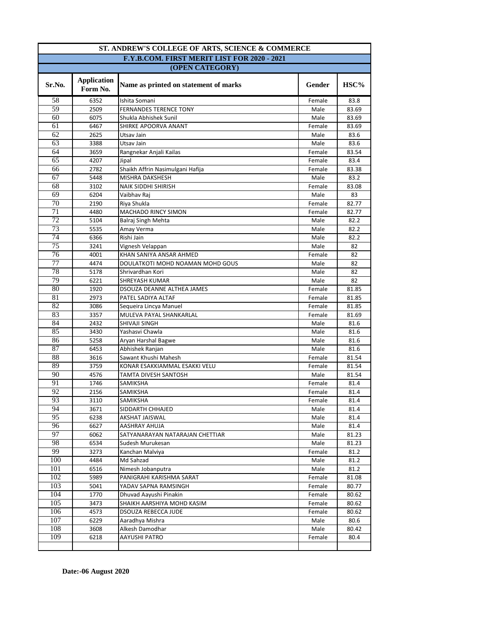| ST. ANDREW'S COLLEGE OF ARTS, SCIENCE & COMMERCE |                                |                                       |                |             |  |
|--------------------------------------------------|--------------------------------|---------------------------------------|----------------|-------------|--|
| F.Y.B.COM. FIRST MERIT LIST FOR 2020 - 2021      |                                |                                       |                |             |  |
| (OPEN CATEGORY)                                  |                                |                                       |                |             |  |
| Sr.No.                                           | <b>Application</b><br>Form No. | Name as printed on statement of marks | Gender         | $\rm HSC\%$ |  |
| 58                                               | 6352                           | Ishita Somani                         | Female         | 83.8        |  |
| 59                                               | 2509                           | <b>FERNANDES TERENCE TONY</b>         | Male           | 83.69       |  |
| 60                                               | 6075                           | Shukla Abhishek Sunil                 | Male           | 83.69       |  |
| 61                                               | 6467                           | SHIRKE APOORVA ANANT                  | Female         | 83.69       |  |
| 62                                               | 2625                           | Utsav Jain                            | Male           | 83.6        |  |
| 63                                               | 3388                           | Utsav Jain                            | Male           | 83.6        |  |
| 64                                               | 3659                           | Rangnekar Anjali Kailas               | Female         | 83.54       |  |
| $\overline{65}$                                  | 4207                           | Jipal                                 | Female         | 83.4        |  |
| 66                                               | 2782                           | Shaikh Affrin Nasimulgani Hafija      | Female         | 83.38       |  |
| 67                                               | 5448                           | MISHRA DAKSHESH                       | Male           | 83.2        |  |
| 68                                               | 3102                           | NAIK SIDDHI SHIRISH                   | Female         | 83.08       |  |
| 69                                               | 6204                           | Vaibhav Raj                           | Male           | 83          |  |
| $\overline{70}$                                  | 2190                           | Riya Shukla                           | Female         | 82.77       |  |
| 71                                               | 4480                           | MACHADO RINCY SIMON                   | Female         | 82.77       |  |
| 72                                               | 5104                           | Balraj Singh Mehta                    | Male           | 82.2        |  |
| 73                                               | 5535                           | Amay Verma                            | Male           | 82.2        |  |
| 74                                               | 6366                           | Rishi Jain                            | Male           | 82.2        |  |
| $\overline{75}$                                  | 3241                           | Vignesh Velappan                      | Male           | 82          |  |
| 76                                               | 4001                           | KHAN SANIYA ANSAR AHMED               | Female         | 82          |  |
| 77                                               | 4474                           | DOULATKOTI MOHD NOAMAN MOHD GOUS      | Male           | 82          |  |
| 78                                               | 5178                           | Shrivardhan Kori                      | Male           | 82          |  |
| 79                                               | 6221                           | SHREYASH KUMAR                        | Male           | 82          |  |
| 80                                               | 1920                           | DSOUZA DEANNE ALTHEA JAMES            | Female         | 81.85       |  |
| 81                                               | 2973                           | PATEL SADIYA ALTAF                    | Female         | 81.85       |  |
| 82                                               | 3086                           | Sequeira Lincya Manuel                | Female         | 81.85       |  |
| 83                                               | 3357                           | MULEVA PAYAL SHANKARLAL               | Female         | 81.69       |  |
| 84                                               | 2432                           | SHIVAJI SINGH                         | Male           | 81.6        |  |
| 85                                               | 3430                           | Yashasvi Chawla                       | Male           | 81.6        |  |
| 86                                               | 5258                           | Aryan Harshal Bagwe                   | Male           | 81.6        |  |
| 87                                               | 6453                           | Abhishek Ranjan                       | Male           | 81.6        |  |
| 88                                               | 3616                           | Sawant Khushi Mahesh                  | Female         | 81.54       |  |
| 89                                               | 3759                           | KONAR ESAKKIAMMAL ESAKKI VELU         | Female         | 81.54       |  |
| 90                                               | 4576                           | TAMTA DIVESH SANTOSH                  | Male           | 81.54       |  |
| 91                                               | 1746                           | SAMIKSHA                              | Female         | 81.4        |  |
| 92                                               | 2156                           | SAMIKSHA                              | Female         | 81.4        |  |
| 93                                               | 3110                           | SAMIKSHA                              | Female         | 81.4        |  |
| 94                                               | 3671                           | SIDDARTH CHHAJED                      | Male           | 81.4        |  |
| 95                                               | 6238                           | AKSHAT JAISWAL                        | Male           | 81.4        |  |
| 96                                               | 6627                           | AASHRAY AHUJA                         | Male           | 81.4        |  |
| 97                                               | 6062                           | SATYANARAYAN NATARAJAN CHETTIAR       | Male           | 81.23       |  |
| 98                                               | 6534                           | Sudesh Murukesan                      | Male           | 81.23       |  |
| 99                                               | 3273                           | Kanchan Malviya                       |                | 81.2        |  |
| 100                                              | 4484                           | Md Sahzad                             | Female<br>Male | 81.2        |  |
| 101                                              | 6516                           | Nimesh Jobanputra                     | Male           | 81.2        |  |
| 102                                              |                                |                                       |                |             |  |
| 103                                              | 5989                           | PANIGRAHI KARISHMA SARAT              | Female         | 81.08       |  |
|                                                  | 5041                           | YADAV SAPNA RAMSINGH                  | Female         | 80.77       |  |
| 104                                              | 1770                           | Dhuvad Aayushi Pinakin                | Female         | 80.62       |  |
| 105                                              | 3473                           | SHAIKH AARSHIYA MOHD KASIM            | Female         | 80.62       |  |
| 106                                              | 4573                           | <b>DSOUZA REBECCA JUDE</b>            | Female         | 80.62       |  |
| 107                                              | 6229                           | Aaradhya Mishra                       | Male           | 80.6        |  |
| 108                                              | 3608                           | Alkesh Damodhar                       | Male           | 80.42       |  |
| 109                                              | 6218                           | AAYUSHI PATRO                         | Female         | 80.4        |  |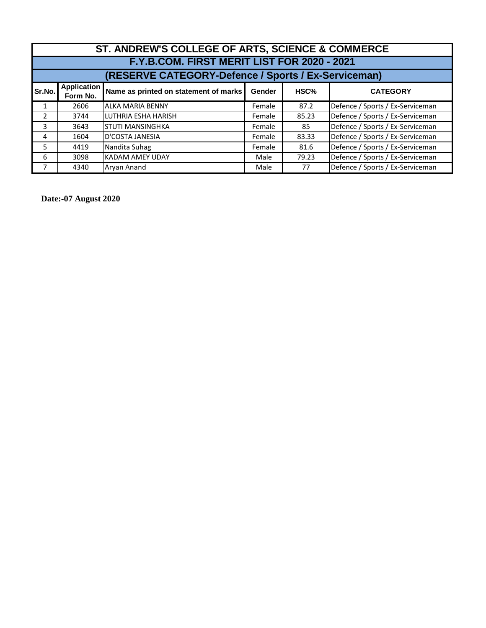| ST. ANDREW'S COLLEGE OF ARTS, SCIENCE & COMMERCE    |                                             |                                       |               |       |                                  |  |
|-----------------------------------------------------|---------------------------------------------|---------------------------------------|---------------|-------|----------------------------------|--|
|                                                     | F.Y.B.COM. FIRST MERIT LIST FOR 2020 - 2021 |                                       |               |       |                                  |  |
| (RESERVE CATEGORY-Defence / Sports / Ex-Serviceman) |                                             |                                       |               |       |                                  |  |
| Sr.No.                                              | <b>Application</b><br>Form No.              | Name as printed on statement of marks | <b>Gender</b> | HSC%  | <b>CATEGORY</b>                  |  |
|                                                     | 2606                                        | <b>ALKA MARIA BENNY</b>               | Female        | 87.2  | Defence / Sports / Ex-Serviceman |  |
| 2                                                   | 3744                                        | LUTHRIA ESHA HARISH                   | Female        | 85.23 | Defence / Sports / Ex-Serviceman |  |
| 3                                                   | 3643                                        | <b>I</b> STUTI MANSINGHKA             | Female        | 85    | Defence / Sports / Ex-Serviceman |  |
| 4                                                   | 1604                                        | D'COSTA JANESIA                       | Female        | 83.33 | Defence / Sports / Ex-Serviceman |  |
| 5                                                   | 4419                                        | Nandita Suhag                         | Female        | 81.6  | Defence / Sports / Ex-Serviceman |  |
| 6                                                   | 3098                                        | <b>KADAM AMEY UDAY</b>                | Male          | 79.23 | Defence / Sports / Ex-Serviceman |  |
|                                                     | 4340                                        | Arvan Anand                           | Male          | 77    | Defence / Sports / Ex-Serviceman |  |

**Date:-07 August 2020**